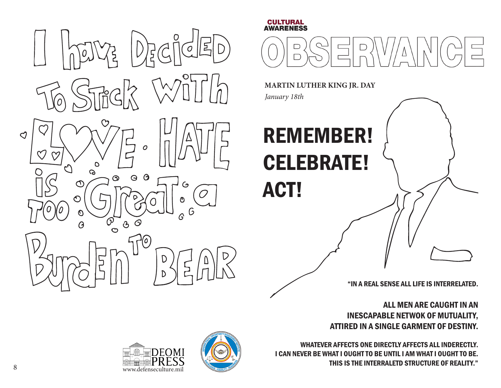

## **CULTURAL<br>AWARENESS**



**MARTIN LUTHER KING JR. DAY**

*January 18th*

## REMEMBER! CELEBRATE! ACT!

"IN A REAL SENSE ALL LIFE IS INTERRELATED.

ALL MEN ARE CAUGHT IN AN INESCAPABLE NETWOK OF MUTUALITY, ATTIRED IN A SINGLE GARMENT OF DESTINY.

WHATEVER AFFECTS ONE DIRECTLY AFFECTS ALL INDERECTLY. I CAN NEVER BE WHAT I OUGHT TO BE UNTIL I AM WHAT I OUGHT TO BE. THIS IS THE INTERRALETD STRUCTURE OF REALITY."



www.defenseculture.mil

**FOMI** 

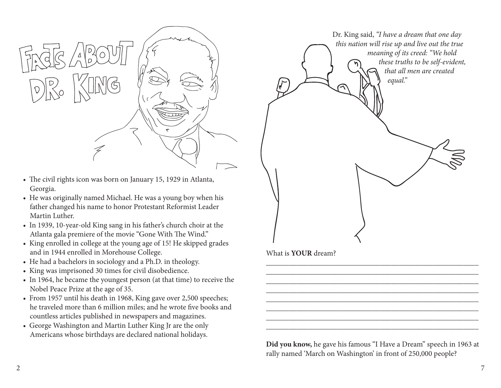

- The civil rights icon was born on January 15, 1929 in Atlanta, Georgia.
- He was originally named Michael. He was a young boy when his father changed his name to honor Protestant Reformist Leader Martin Luther.
- In 1939, 10-year-old King sang in his father's church choir at the Atlanta gala premiere of the movie "Gone With The Wind."
- King enrolled in college at the young age of 15! He skipped grades and in 1944 enrolled in Morehouse College.
- He had a bachelors in sociology and a Ph.D. in theology.
- King was imprisoned 30 times for civil disobedience.
- In 1964, he became the youngest person (at that time) to receive the Nobel Peace Prize at the age of 35.
- From 1957 until his death in 1968, King gave over 2,500 speeches; he traveled more than 6 million miles; and he wrote five books and countless articles published in newspapers and magazines.
- George Washington and Martin Luther King Jr are the only Americans whose birthdays are declared national holidays.



What is **YOUR** dream?

**Did you know,** he gave his famous "I Have a Dream" speech in 1963 at rally named 'March on Washington' in front of 250,000 people?

\_\_\_\_\_\_\_\_\_\_\_\_\_\_\_\_\_\_\_\_\_\_\_\_\_\_\_\_\_\_\_\_\_\_\_\_\_\_\_\_\_\_\_\_\_\_\_\_\_\_\_\_\_\_\_\_ \_\_\_\_\_\_\_\_\_\_\_\_\_\_\_\_\_\_\_\_\_\_\_\_\_\_\_\_\_\_\_\_\_\_\_\_\_\_\_\_\_\_\_\_\_\_\_\_\_\_\_\_\_\_\_\_ \_\_\_\_\_\_\_\_\_\_\_\_\_\_\_\_\_\_\_\_\_\_\_\_\_\_\_\_\_\_\_\_\_\_\_\_\_\_\_\_\_\_\_\_\_\_\_\_\_\_\_\_\_\_\_\_ \_\_\_\_\_\_\_\_\_\_\_\_\_\_\_\_\_\_\_\_\_\_\_\_\_\_\_\_\_\_\_\_\_\_\_\_\_\_\_\_\_\_\_\_\_\_\_\_\_\_\_\_\_\_\_\_ \_\_\_\_\_\_\_\_\_\_\_\_\_\_\_\_\_\_\_\_\_\_\_\_\_\_\_\_\_\_\_\_\_\_\_\_\_\_\_\_\_\_\_\_\_\_\_\_\_\_\_\_\_\_\_\_ \_\_\_\_\_\_\_\_\_\_\_\_\_\_\_\_\_\_\_\_\_\_\_\_\_\_\_\_\_\_\_\_\_\_\_\_\_\_\_\_\_\_\_\_\_\_\_\_\_\_\_\_\_\_\_\_ \_\_\_\_\_\_\_\_\_\_\_\_\_\_\_\_\_\_\_\_\_\_\_\_\_\_\_\_\_\_\_\_\_\_\_\_\_\_\_\_\_\_\_\_\_\_\_\_\_\_\_\_\_\_\_\_ \_\_\_\_\_\_\_\_\_\_\_\_\_\_\_\_\_\_\_\_\_\_\_\_\_\_\_\_\_\_\_\_\_\_\_\_\_\_\_\_\_\_\_\_\_\_\_\_\_\_\_\_\_\_\_\_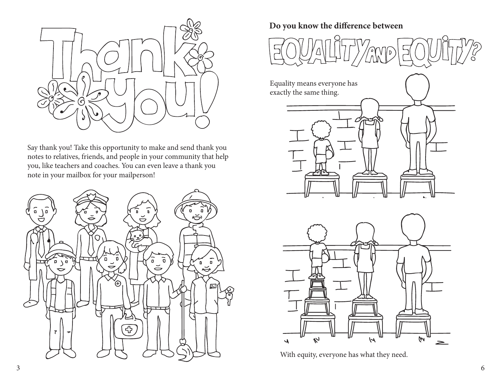

Say thank you! Take this opportunity to make and send thank you notes to relatives, friends, and people in your community that help you, like teachers and coaches. You can even leave a thank you note in your mailbox for your mailperson!



## **Do you know the difference between**



Equality means everyone has exactly the same thing.





With equity, everyone has what they need.